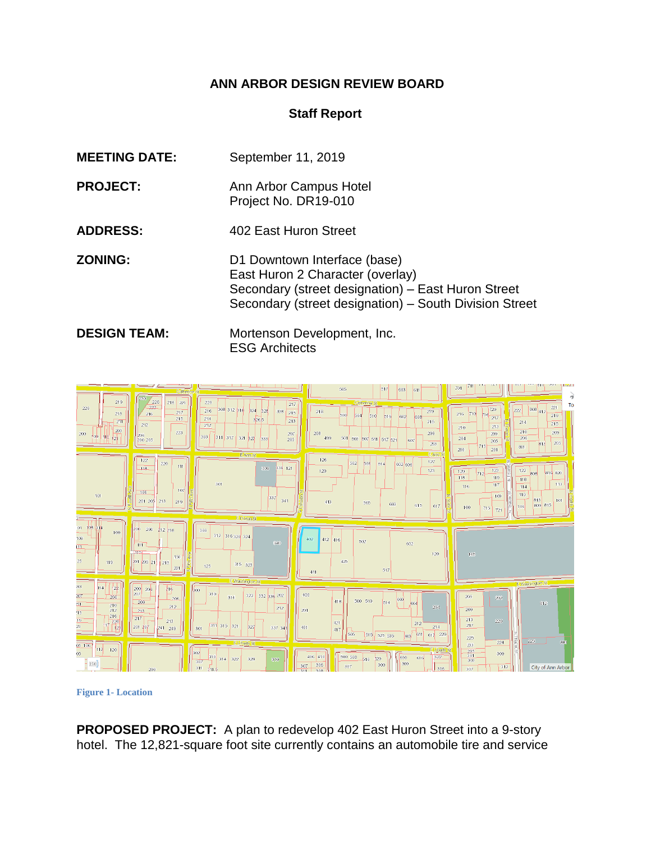# **ANN ARBOR DESIGN REVIEW BOARD**

## **Staff Report**

| <b>MEETING DATE:</b> | September 11, 2019                                                                                                                                                               |
|----------------------|----------------------------------------------------------------------------------------------------------------------------------------------------------------------------------|
| <b>PROJECT:</b>      | Ann Arbor Campus Hotel<br>Project No. DR19-010                                                                                                                                   |
| <b>ADDRESS:</b>      | 402 East Huron Street                                                                                                                                                            |
| <b>ZONING:</b>       | D1 Downtown Interface (base)<br>East Huron 2 Character (overlay)<br>Secondary (street designation) – East Huron Street<br>Secondary (street designation) - South Division Street |
| <b>DESIGN TEAM:</b>  | Mortenson Development, Inc.<br><b>ESG Architects</b>                                                                                                                             |



**Figure 1- Location**

**PROPOSED PROJECT:** A plan to redevelop 402 East Huron Street into a 9-story hotel. The 12,821-square foot site currently contains an automobile tire and service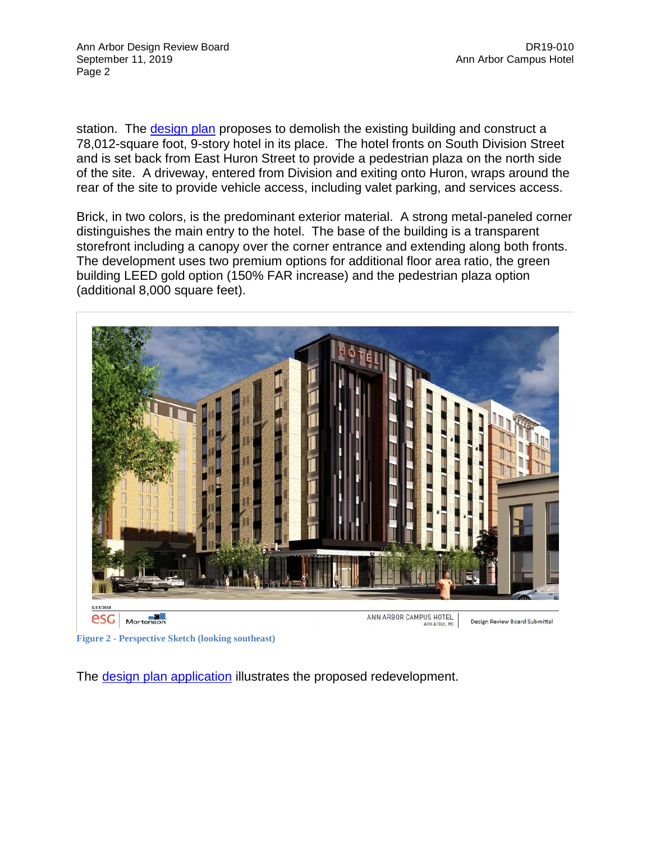station. The [design plan](https://etrakit.a2gov.org/etrakit3/viewAttachment.aspx?Group=PROJECT&ActivityNo=DR19-010&key=AD%3a1908140415189435) proposes to demolish the existing building and construct a 78,012-square foot, 9-story hotel in its place. The hotel fronts on South Division Street and is set back from East Huron Street to provide a pedestrian plaza on the north side of the site. A driveway, entered from Division and exiting onto Huron, wraps around the rear of the site to provide vehicle access, including valet parking, and services access.

Brick, in two colors, is the predominant exterior material. A strong metal-paneled corner distinguishes the main entry to the hotel. The base of the building is a transparent storefront including a canopy over the corner entrance and extending along both fronts. The development uses two premium options for additional floor area ratio, the green building LEED gold option (150% FAR increase) and the pedestrian plaza option (additional 8,000 square feet).



**Figure 2 - Perspective Sketch (looking southeast)**

The **design plan application** illustrates the proposed redevelopment.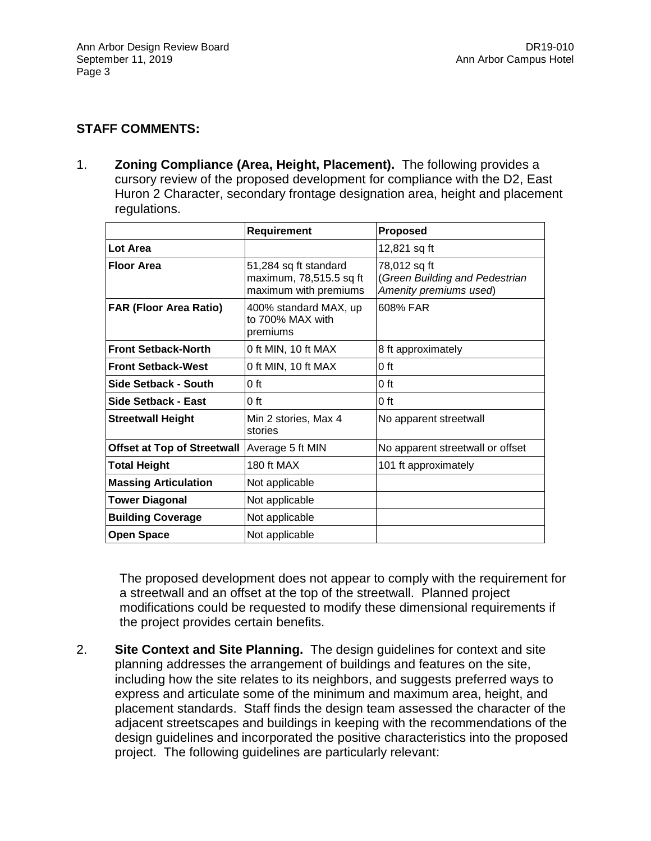## **STAFF COMMENTS:**

1. **Zoning Compliance (Area, Height, Placement).** The following provides a cursory review of the proposed development for compliance with the D2, East Huron 2 Character, secondary frontage designation area, height and placement regulations.

|                                    | <b>Requirement</b>                                                        | <b>Proposed</b>                                                          |
|------------------------------------|---------------------------------------------------------------------------|--------------------------------------------------------------------------|
| Lot Area                           |                                                                           | 12,821 sq ft                                                             |
| <b>Floor Area</b>                  | 51,284 sq ft standard<br>maximum, 78,515.5 sq ft<br>maximum with premiums | 78,012 sq ft<br>(Green Building and Pedestrian<br>Amenity premiums used) |
| <b>FAR (Floor Area Ratio)</b>      | 400% standard MAX, up<br>to 700% MAX with<br>premiums                     | 608% FAR                                                                 |
| <b>Front Setback-North</b>         | 0 ft MIN, 10 ft MAX                                                       | 8 ft approximately                                                       |
| <b>Front Setback-West</b>          | 0 ft MIN, 10 ft MAX                                                       | 0 ft                                                                     |
| Side Setback - South               | 0 ft                                                                      | 0 ft                                                                     |
| Side Setback - East                | $0$ ft                                                                    | 0 ft                                                                     |
| <b>Streetwall Height</b>           | Min 2 stories, Max 4<br>stories                                           | No apparent streetwall                                                   |
| <b>Offset at Top of Streetwall</b> | Average 5 ft MIN                                                          | No apparent streetwall or offset                                         |
| <b>Total Height</b>                | <b>180 ft MAX</b>                                                         | 101 ft approximately                                                     |
| <b>Massing Articulation</b>        | Not applicable                                                            |                                                                          |
| <b>Tower Diagonal</b>              | Not applicable                                                            |                                                                          |
| <b>Building Coverage</b>           | Not applicable                                                            |                                                                          |
| <b>Open Space</b>                  | Not applicable                                                            |                                                                          |

The proposed development does not appear to comply with the requirement for a streetwall and an offset at the top of the streetwall. Planned project modifications could be requested to modify these dimensional requirements if the project provides certain benefits.

2. **Site Context and Site Planning.** The design guidelines for context and site planning addresses the arrangement of buildings and features on the site, including how the site relates to its neighbors, and suggests preferred ways to express and articulate some of the minimum and maximum area, height, and placement standards. Staff finds the design team assessed the character of the adjacent streetscapes and buildings in keeping with the recommendations of the design guidelines and incorporated the positive characteristics into the proposed project. The following guidelines are particularly relevant: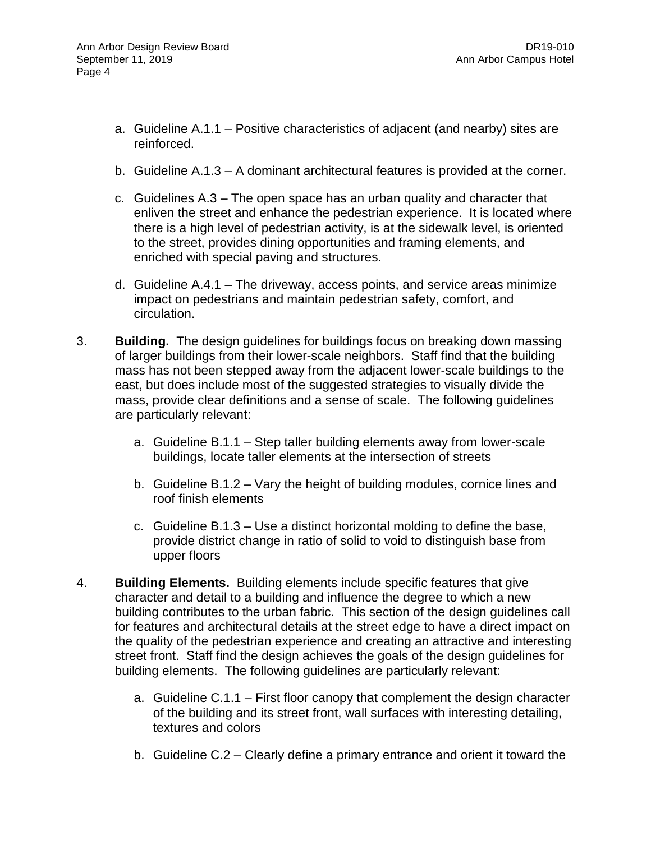- a. Guideline A.1.1 Positive characteristics of adjacent (and nearby) sites are reinforced.
- b. Guideline A.1.3 A dominant architectural features is provided at the corner.
- c. Guidelines A.3 The open space has an urban quality and character that enliven the street and enhance the pedestrian experience. It is located where there is a high level of pedestrian activity, is at the sidewalk level, is oriented to the street, provides dining opportunities and framing elements, and enriched with special paving and structures.
- d. Guideline A.4.1 The driveway, access points, and service areas minimize impact on pedestrians and maintain pedestrian safety, comfort, and circulation.
- 3. **Building.** The design guidelines for buildings focus on breaking down massing of larger buildings from their lower-scale neighbors. Staff find that the building mass has not been stepped away from the adjacent lower-scale buildings to the east, but does include most of the suggested strategies to visually divide the mass, provide clear definitions and a sense of scale. The following guidelines are particularly relevant:
	- a. Guideline B.1.1 Step taller building elements away from lower-scale buildings, locate taller elements at the intersection of streets
	- b. Guideline B.1.2 Vary the height of building modules, cornice lines and roof finish elements
	- c. Guideline B.1.3 Use a distinct horizontal molding to define the base, provide district change in ratio of solid to void to distinguish base from upper floors
- 4. **Building Elements.** Building elements include specific features that give character and detail to a building and influence the degree to which a new building contributes to the urban fabric. This section of the design guidelines call for features and architectural details at the street edge to have a direct impact on the quality of the pedestrian experience and creating an attractive and interesting street front. Staff find the design achieves the goals of the design guidelines for building elements. The following guidelines are particularly relevant:
	- a. Guideline C.1.1 First floor canopy that complement the design character of the building and its street front, wall surfaces with interesting detailing, textures and colors
	- b. Guideline C.2 Clearly define a primary entrance and orient it toward the